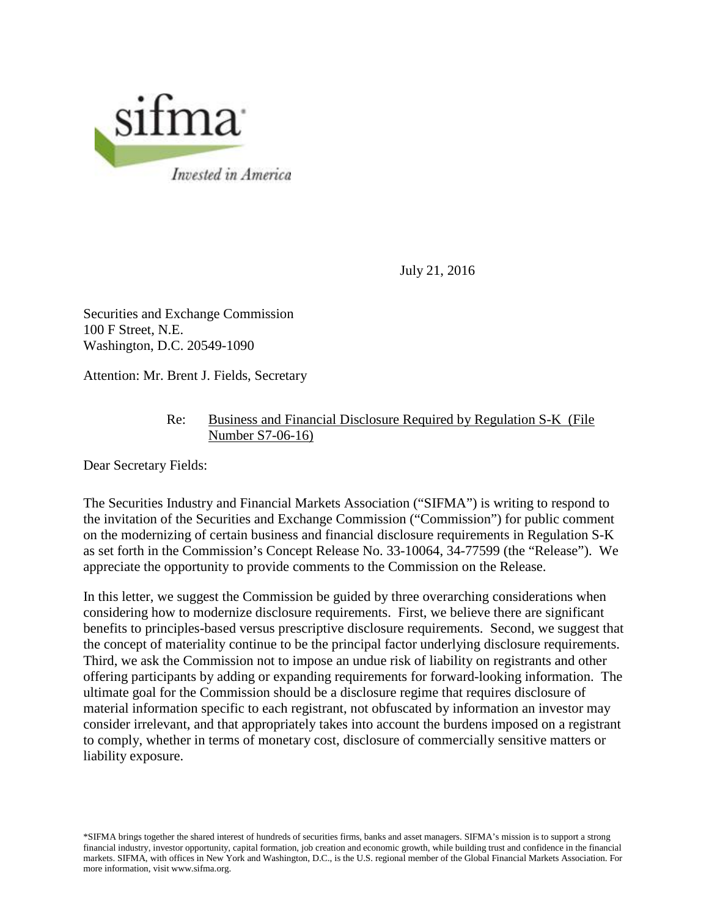

July 21, 2016

Securities and Exchange Commission 100 F Street, N.E. Washington, D.C. 20549-1090

Attention: Mr. Brent J. Fields, Secretary

## Re: Business and Financial Disclosure Required by Regulation S-K (File Number S7-06-16)

Dear Secretary Fields:

 The Securities Industry and Financial Markets Association ("SIFMA") is writing to respond to appreciate the opportunity to provide comments to the Commission on the Release. the invitation of the Securities and Exchange Commission ("Commission") for public comment on the modernizing of certain business and financial disclosure requirements in Regulation S-K as set forth in the Commission's Concept Release No. 33-10064, 34-77599 (the "Release"). We

 Third, we ask the Commission not to impose an undue risk of liability on registrants and other In this letter, we suggest the Commission be guided by three overarching considerations when considering how to modernize disclosure requirements. First, we believe there are significant benefits to principles-based versus prescriptive disclosure requirements. Second, we suggest that the concept of materiality continue to be the principal factor underlying disclosure requirements. offering participants by adding or expanding requirements for forward-looking information. The ultimate goal for the Commission should be a disclosure regime that requires disclosure of material information specific to each registrant, not obfuscated by information an investor may consider irrelevant, and that appropriately takes into account the burdens imposed on a registrant to comply, whether in terms of monetary cost, disclosure of commercially sensitive matters or liability exposure.

 markets. SIFMA, with offices in New York and Washington, D.C., is the U.S. regional member of the Global Financial Markets Association. For \*SIFMA brings together the shared interest of hundreds of securities firms, banks and asset managers. SIFMA's mission is to support a strong financial industry, investor opportunity, capital formation, job creation and economic growth, while building trust and confidence in the financial more information, visit www.sifma.org.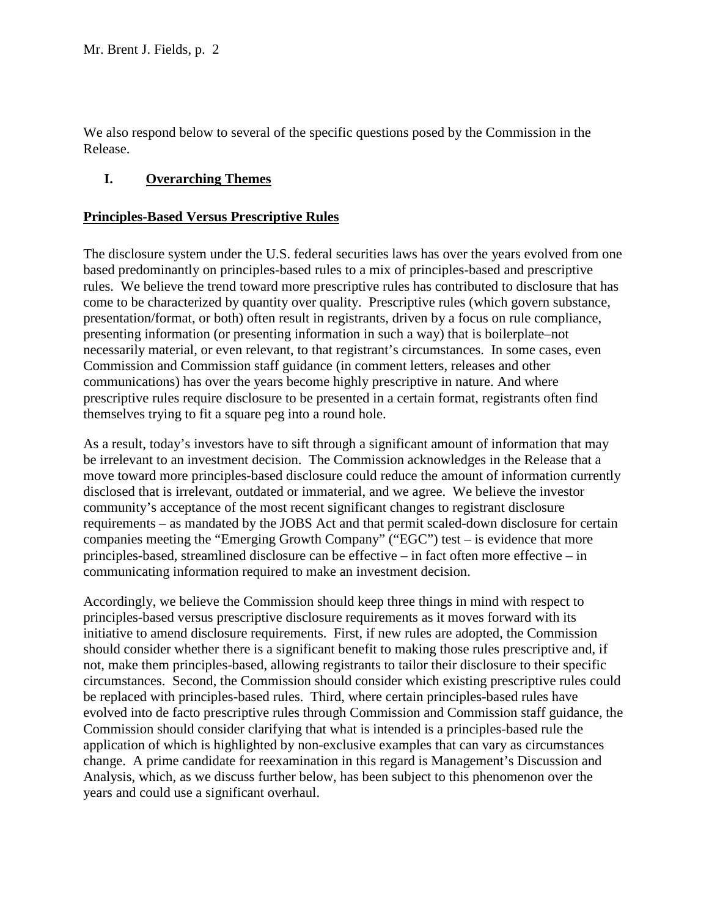We also respond below to several of the specific questions posed by the Commission in the Release.

# **I. Overarching Themes**

## **Principles-Based Versus Prescriptive Rules**

 necessarily material, or even relevant, to that registrant's circumstances. In some cases, even Commission and Commission staff guidance (in comment letters, releases and other communications) has over the years become highly prescriptive in nature. And where The disclosure system under the U.S. federal securities laws has over the years evolved from one based predominantly on principles-based rules to a mix of principles-based and prescriptive rules. We believe the trend toward more prescriptive rules has contributed to disclosure that has come to be characterized by quantity over quality. Prescriptive rules (which govern substance, presentation/format, or both) often result in registrants, driven by a focus on rule compliance, presenting information (or presenting information in such a way) that is boilerplate–not prescriptive rules require disclosure to be presented in a certain format, registrants often find themselves trying to fit a square peg into a round hole.

 requirements – as mandated by the JOBS Act and that permit scaled-down disclosure for certain As a result, today's investors have to sift through a significant amount of information that may be irrelevant to an investment decision. The Commission acknowledges in the Release that a move toward more principles-based disclosure could reduce the amount of information currently disclosed that is irrelevant, outdated or immaterial, and we agree. We believe the investor community's acceptance of the most recent significant changes to registrant disclosure companies meeting the "Emerging Growth Company" ("EGC") test – is evidence that more principles-based, streamlined disclosure can be effective – in fact often more effective – in communicating information required to make an investment decision.

 initiative to amend disclosure requirements. First, if new rules are adopted, the Commission application of which is highlighted by non-exclusive examples that can vary as circumstances Analysis, which, as we discuss further below, has been subject to this phenomenon over the Accordingly, we believe the Commission should keep three things in mind with respect to principles-based versus prescriptive disclosure requirements as it moves forward with its should consider whether there is a significant benefit to making those rules prescriptive and, if not, make them principles-based, allowing registrants to tailor their disclosure to their specific circumstances. Second, the Commission should consider which existing prescriptive rules could be replaced with principles-based rules. Third, where certain principles-based rules have evolved into de facto prescriptive rules through Commission and Commission staff guidance, the Commission should consider clarifying that what is intended is a principles-based rule the change. A prime candidate for reexamination in this regard is Management's Discussion and years and could use a significant overhaul.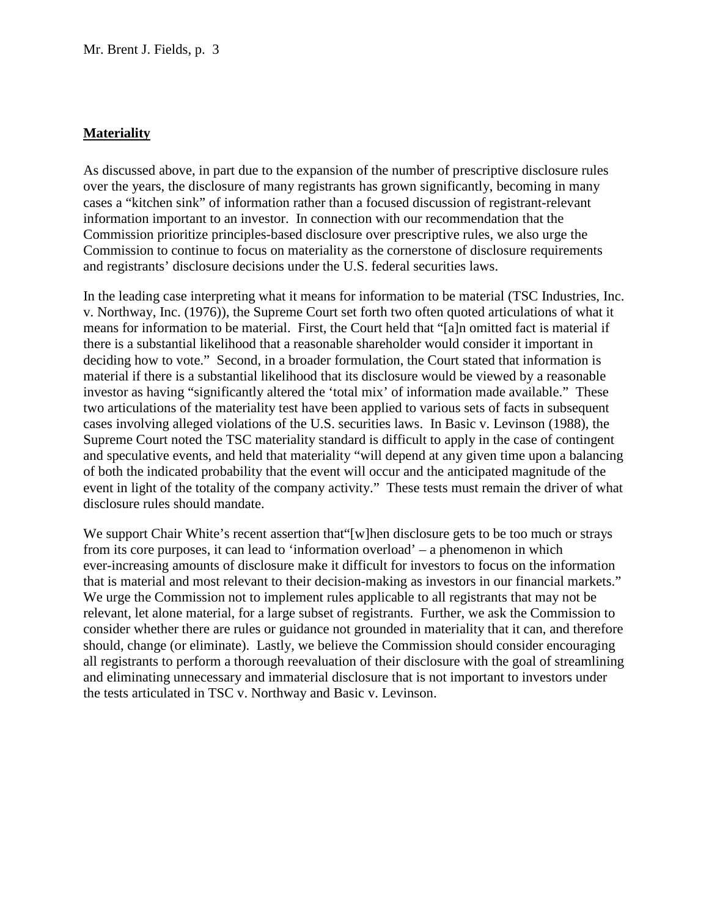## **Materiality**

As discussed above, in part due to the expansion of the number of prescriptive disclosure rules over the years, the disclosure of many registrants has grown significantly, becoming in many cases a "kitchen sink" of information rather than a focused discussion of registrant-relevant information important to an investor. In connection with our recommendation that the Commission prioritize principles-based disclosure over prescriptive rules, we also urge the Commission to continue to focus on materiality as the cornerstone of disclosure requirements and registrants' disclosure decisions under the U.S. federal securities laws.

 means for information to be material. First, the Court held that "[a]n omitted fact is material if deciding how to vote." Second, in a broader formulation, the Court stated that information is material if there is a substantial likelihood that its disclosure would be viewed by a reasonable cases involving alleged violations of the U.S. securities laws. In Basic v. Levinson (1988), the Supreme Court noted the TSC materiality standard is difficult to apply in the case of contingent of both the indicated probability that the event will occur and the anticipated magnitude of the In the leading case interpreting what it means for information to be material (TSC Industries, Inc. v. Northway, Inc. (1976)), the Supreme Court set forth two often quoted articulations of what it there is a substantial likelihood that a reasonable shareholder would consider it important in investor as having "significantly altered the 'total mix' of information made available." These two articulations of the materiality test have been applied to various sets of facts in subsequent and speculative events, and held that materiality "will depend at any given time upon a balancing event in light of the totality of the company activity." These tests must remain the driver of what disclosure rules should mandate.

 from its core purposes, it can lead to 'information overload' – a phenomenon in which that is material and most relevant to their decision-making as investors in our financial markets." We support Chair White's recent assertion that '[w]hen disclosure gets to be too much or strays ever-increasing amounts of disclosure make it difficult for investors to focus on the information We urge the Commission not to implement rules applicable to all registrants that may not be relevant, let alone material, for a large subset of registrants. Further, we ask the Commission to consider whether there are rules or guidance not grounded in materiality that it can, and therefore should, change (or eliminate). Lastly, we believe the Commission should consider encouraging all registrants to perform a thorough reevaluation of their disclosure with the goal of streamlining and eliminating unnecessary and immaterial disclosure that is not important to investors under the tests articulated in TSC v. Northway and Basic v. Levinson.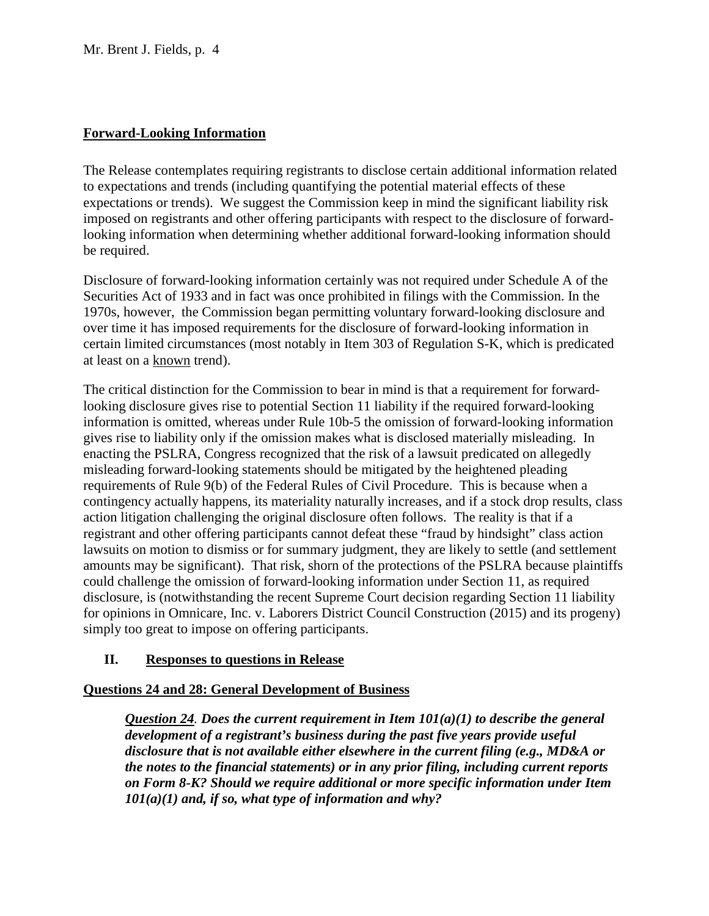# **Forward-Looking Information**

 expectations or trends). We suggest the Commission keep in mind the significant liability risk The Release contemplates requiring registrants to disclose certain additional information related to expectations and trends (including quantifying the potential material effects of these imposed on registrants and other offering participants with respect to the disclosure of forwardlooking information when determining whether additional forward-looking information should be required.

at least on a <u>known</u> trend). Disclosure of forward-looking information certainly was not required under Schedule A of the Securities Act of 1933 and in fact was once prohibited in filings with the Commission. In the 1970s, however, the Commission began permitting voluntary forward-looking disclosure and over time it has imposed requirements for the disclosure of forward-looking information in certain limited circumstances (most notably in Item 303 of Regulation S-K, which is predicated

 looking disclosure gives rise to potential Section 11 liability if the required forward-looking gives rise to liability only if the omission makes what is disclosed materially misleading. In action litigation challenging the original disclosure often follows. The reality is that if a registrant and other offering participants cannot defeat these "fraud by hindsight" class action lawsuits on motion to dismiss or for summary judgment, they are likely to settle (and settlement simply too great to impose on offering participants. The critical distinction for the Commission to bear in mind is that a requirement for forwardinformation is omitted, whereas under Rule 10b-5 the omission of forward-looking information enacting the PSLRA, Congress recognized that the risk of a lawsuit predicated on allegedly misleading forward-looking statements should be mitigated by the heightened pleading requirements of Rule 9(b) of the Federal Rules of Civil Procedure. This is because when a contingency actually happens, its materiality naturally increases, and if a stock drop results, class amounts may be significant). That risk, shorn of the protections of the PSLRA because plaintiffs could challenge the omission of forward-looking information under Section 11, as required disclosure, is (notwithstanding the recent Supreme Court decision regarding Section 11 liability for opinions in Omnicare, Inc. v. Laborers District Council Construction (2015) and its progeny)

## **II. Responses to questions in Release**

## **Questions 24 and 28: General Development of Business**

 *development of a registrant's business during the past five years provide useful Question 24. Does the current requirement in Item 101(a)(1) to describe the general disclosure that is not available either elsewhere in the current filing (e.g., MD&A or the notes to the financial statements) or in any prior filing, including current reports on Form 8-K? Should we require additional or more specific information under Item 101(a)(1) and, if so, what type of information and why?*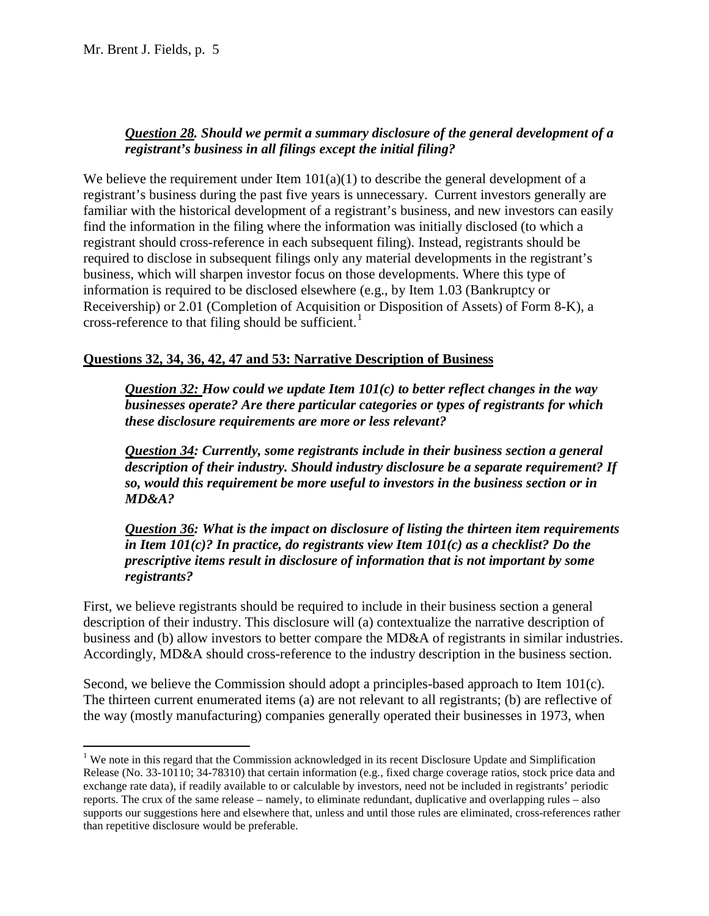$\overline{a}$ 

# *Question 28. Should we permit a summary disclosure of the general development of a registrant's business in all filings except the initial filing?*

 business, which will sharpen investor focus on those developments. Where this type of information is required to be disclosed elsewhere (e.g., by Item 1.03 (Bankruptcy or We believe the requirement under Item  $101(a)(1)$  to describe the general development of a registrant's business during the past five years is unnecessary. Current investors generally are familiar with the historical development of a registrant's business, and new investors can easily find the information in the filing where the information was initially disclosed (to which a registrant should cross-reference in each subsequent filing). Instead, registrants should be required to disclose in subsequent filings only any material developments in the registrant's Receivership) or 2.01 (Completion of Acquisition or Disposition of Assets) of Form 8-K), a cross-reference to that filing should be sufficient.<sup>1</sup>

# **Questions 32, 34, 36, 42, 47 and 53: Narrative Description of Business**

*Question 32: How could we update Item 101(c) to better reflect changes in the way businesses operate? Are there particular categories or types of registrants for which these disclosure requirements are more or less relevant?* 

*Question 34: Currently, some registrants include in their business section a general description of their industry. Should industry disclosure be a separate requirement? If so, would this requirement be more useful to investors in the business section or in MD&A?* 

 *Question 36: What is the impact on disclosure of listing the thirteen item requirements in Item 101(c)? In practice, do registrants view Item 101(c) as a checklist? Do the prescriptive items result in disclosure of information that is not important by some registrants?* 

 First, we believe registrants should be required to include in their business section a general description of their industry. This disclosure will (a) contextualize the narrative description of business and (b) allow investors to better compare the MD&A of registrants in similar industries. Accordingly, MD&A should cross-reference to the industry description in the business section.

 the way (mostly manufacturing) companies generally operated their businesses in 1973, when Second, we believe the Commission should adopt a principles-based approach to Item 101(c). The thirteen current enumerated items (a) are not relevant to all registrants; (b) are reflective of

<span id="page-4-0"></span><sup>&</sup>lt;sup>1</sup> We note in this regard that the Commission acknowledged in its recent Disclosure Update and Simplification Release (No. 33-10110; 34-78310) that certain information (e.g., fixed charge coverage ratios, stock price data and exchange rate data), if readily available to or calculable by investors, need not be included in registrants' periodic reports. The crux of the same release – namely, to eliminate redundant, duplicative and overlapping rules – also supports our suggestions here and elsewhere that, unless and until those rules are eliminated, cross-references rather than repetitive disclosure would be preferable.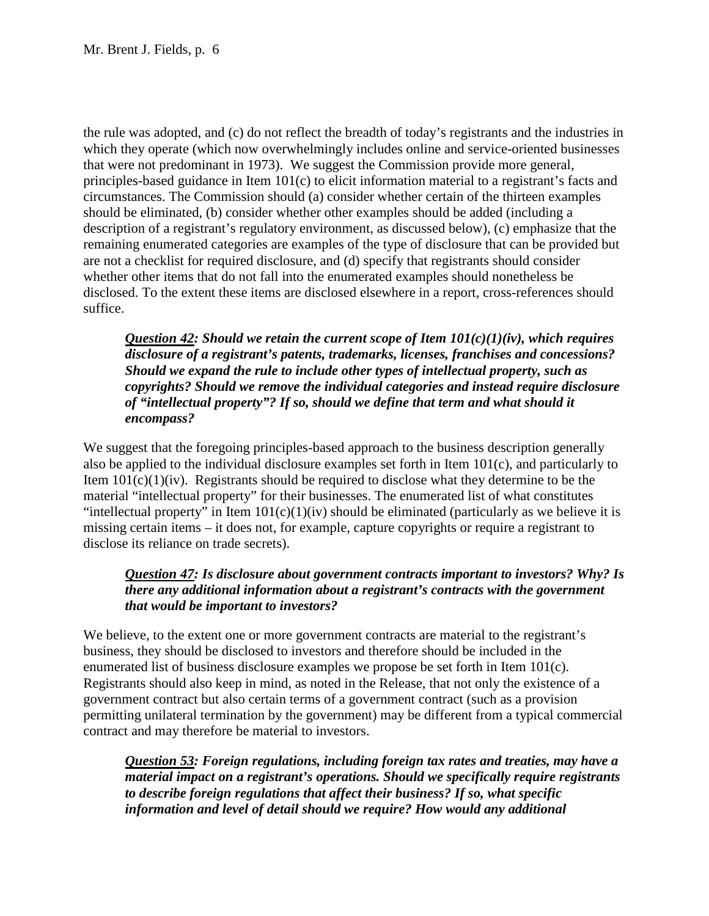principles-based guidance in Item 101(c) to elicit information material to a registrant's facts and are not a checklist for required disclosure, and (d) specify that registrants should consider the rule was adopted, and (c) do not reflect the breadth of today's registrants and the industries in which they operate (which now overwhelmingly includes online and service-oriented businesses that were not predominant in 1973). We suggest the Commission provide more general, circumstances. The Commission should (a) consider whether certain of the thirteen examples should be eliminated, (b) consider whether other examples should be added (including a description of a registrant's regulatory environment, as discussed below), (c) emphasize that the remaining enumerated categories are examples of the type of disclosure that can be provided but whether other items that do not fall into the enumerated examples should nonetheless be disclosed. To the extent these items are disclosed elsewhere in a report, cross-references should suffice.

*Question 42: Should we retain the current scope of Item 101(c)(1)(iv), which requires disclosure of a registrant's patents, trademarks, licenses, franchises and concessions? Should we expand the rule to include other types of intellectual property, such as copyrights? Should we remove the individual categories and instead require disclosure of "intellectual property"? If so, should we define that term and what should it encompass?* 

 disclose its reliance on trade secrets). We suggest that the foregoing principles-based approach to the business description generally also be applied to the individual disclosure examples set forth in Item 101(c), and particularly to Item  $101(c)(1)(iv)$ . Registrants should be required to disclose what they determine to be the material "intellectual property" for their businesses. The enumerated list of what constitutes "intellectual property" in Item  $101(c)(1)(iv)$  should be eliminated (particularly as we believe it is missing certain items – it does not, for example, capture copyrights or require a registrant to

## *that would be important to investors? Question 47: Is disclosure about government contracts important to investors? Why? Is there any additional information about a registrant's contracts with the government*

 government contract but also certain terms of a government contract (such as a provision We believe, to the extent one or more government contracts are material to the registrant's business, they should be disclosed to investors and therefore should be included in the enumerated list of business disclosure examples we propose be set forth in Item 101(c). Registrants should also keep in mind, as noted in the Release, that not only the existence of a permitting unilateral termination by the government) may be different from a typical commercial contract and may therefore be material to investors.

*Question 53: Foreign regulations, including foreign tax rates and treaties, may have a material impact on a registrant's operations. Should we specifically require registrants to describe foreign regulations that affect their business? If so, what specific information and level of detail should we require? How would any additional*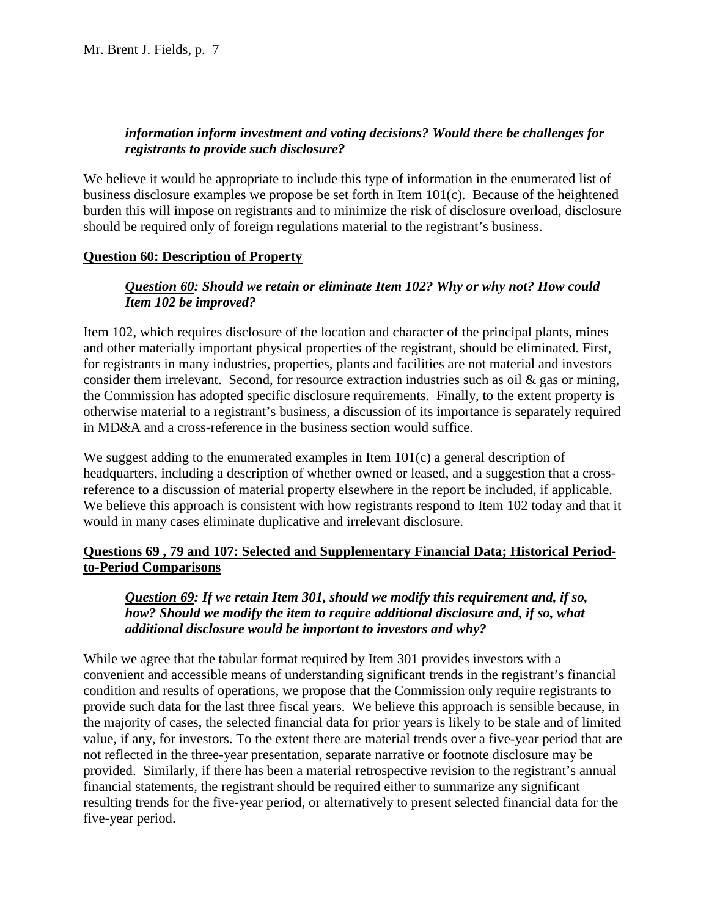# *information inform investment and voting decisions? Would there be challenges for registrants to provide such disclosure?*

We believe it would be appropriate to include this type of information in the enumerated list of business disclosure examples we propose be set forth in Item 101(c). Because of the heightened burden this will impose on registrants and to minimize the risk of disclosure overload, disclosure should be required only of foreign regulations material to the registrant's business.

## **Question 60: Description of Property**

## *Item 102 be improved? Question 60: Should we retain or eliminate Item 102? Why or why not? How could*

Item 102, which requires disclosure of the location and character of the principal plants, mines and other materially important physical properties of the registrant, should be eliminated. First, for registrants in many industries, properties, plants and facilities are not material and investors consider them irrelevant. Second, for resource extraction industries such as oil  $\&$  gas or mining, the Commission has adopted specific disclosure requirements. Finally, to the extent property is otherwise material to a registrant's business, a discussion of its importance is separately required in MD&A and a cross-reference in the business section would suffice.

 We suggest adding to the enumerated examples in Item 101(c) a general description of We believe this approach is consistent with how registrants respond to Item 102 today and that it headquarters, including a description of whether owned or leased, and a suggestion that a crossreference to a discussion of material property elsewhere in the report be included, if applicable. would in many cases eliminate duplicative and irrelevant disclosure.

# **Questions 69 , 79 and 107: Selected and Supplementary Financial Data; Historical Periodto-Period Comparisons**

# *Question 69: If we retain Item 301, should we modify this requirement and, if so, how? Should we modify the item to require additional disclosure and, if so, what additional disclosure would be important to investors and why?*

 provide such data for the last three fiscal years. We believe this approach is sensible because, in the majority of cases, the selected financial data for prior years is likely to be stale and of limited provided. Similarly, if there has been a material retrospective revision to the registrant's annual While we agree that the tabular format required by Item 301 provides investors with a convenient and accessible means of understanding significant trends in the registrant's financial condition and results of operations, we propose that the Commission only require registrants to value, if any, for investors. To the extent there are material trends over a five-year period that are not reflected in the three-year presentation, separate narrative or footnote disclosure may be financial statements, the registrant should be required either to summarize any significant resulting trends for the five-year period, or alternatively to present selected financial data for the five-year period.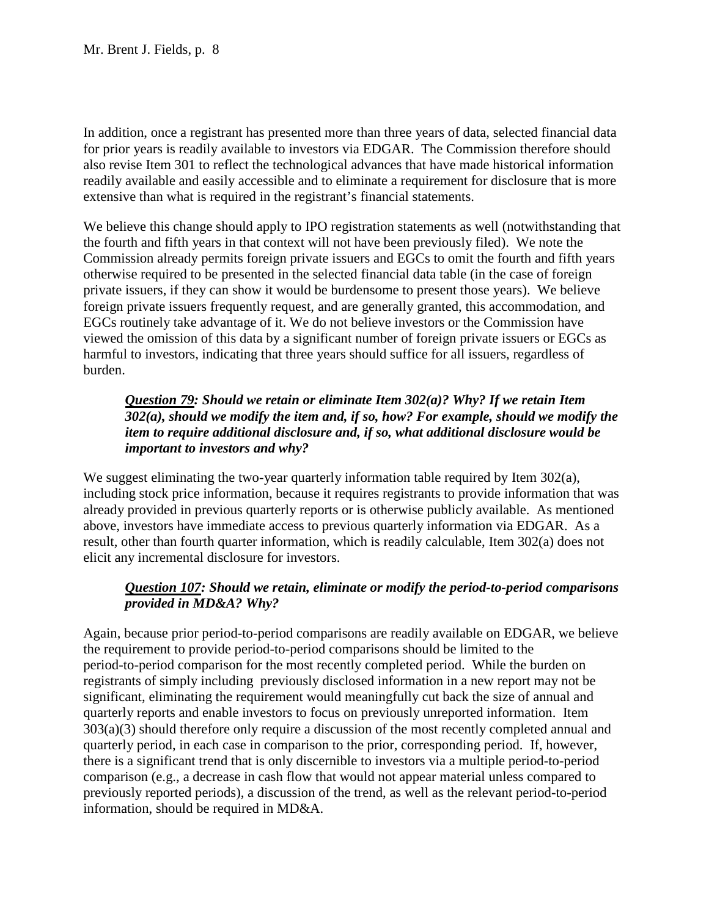In addition, once a registrant has presented more than three years of data, selected financial data for prior years is readily available to investors via EDGAR. The Commission therefore should also revise Item 301 to reflect the technological advances that have made historical information readily available and easily accessible and to eliminate a requirement for disclosure that is more extensive than what is required in the registrant's financial statements.

 private issuers, if they can show it would be burdensome to present those years). We believe foreign private issuers frequently request, and are generally granted, this accommodation, and viewed the omission of this data by a significant number of foreign private issuers or EGCs as We believe this change should apply to IPO registration statements as well (notwithstanding that the fourth and fifth years in that context will not have been previously filed). We note the Commission already permits foreign private issuers and EGCs to omit the fourth and fifth years otherwise required to be presented in the selected financial data table (in the case of foreign EGCs routinely take advantage of it. We do not believe investors or the Commission have harmful to investors, indicating that three years should suffice for all issuers, regardless of burden.

## *302(a), should we modify the item and, if so, how? For example, should we modify the Question 79: Should we retain or eliminate Item 302(a)? Why? If we retain Item item to require additional disclosure and, if so, what additional disclosure would be important to investors and why?*

We suggest eliminating the two-year quarterly information table required by Item 302(a), including stock price information, because it requires registrants to provide information that was already provided in previous quarterly reports or is otherwise publicly available. As mentioned above, investors have immediate access to previous quarterly information via EDGAR. As a result, other than fourth quarter information, which is readily calculable, Item 302(a) does not elicit any incremental disclosure for investors.

# *Question 107: Should we retain, eliminate or modify the period-to-period comparisons provided in MD&A? Why?*

 significant, eliminating the requirement would meaningfully cut back the size of annual and there is a significant trend that is only discernible to investors via a multiple period-to-period Again, because prior period-to-period comparisons are readily available on EDGAR, we believe the requirement to provide period-to-period comparisons should be limited to the period-to-period comparison for the most recently completed period. While the burden on registrants of simply including previously disclosed information in a new report may not be quarterly reports and enable investors to focus on previously unreported information. Item 303(a)(3) should therefore only require a discussion of the most recently completed annual and quarterly period, in each case in comparison to the prior, corresponding period. If, however, comparison (e.g., a decrease in cash flow that would not appear material unless compared to previously reported periods), a discussion of the trend, as well as the relevant period-to-period information, should be required in MD&A.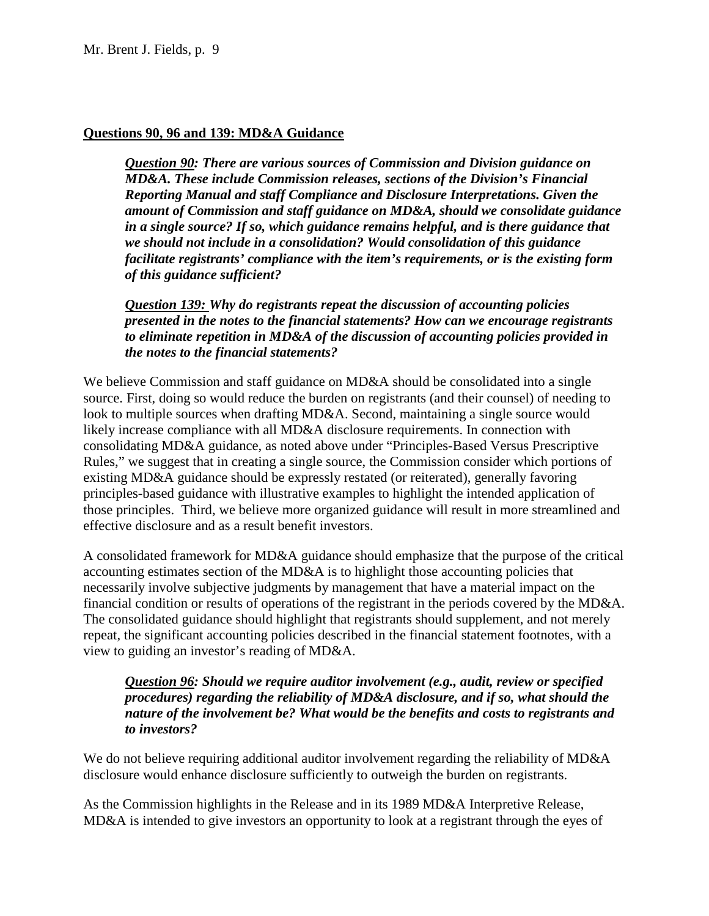### **Questions 90, 96 and 139: MD&A Guidance**

*Question 90: There are various sources of Commission and Division guidance on MD&A. These include Commission releases, sections of the Division's Financial Reporting Manual and staff Compliance and Disclosure Interpretations. Given the amount of Commission and staff guidance on MD&A, should we consolidate guidance in a single source? If so, which guidance remains helpful, and is there guidance that we should not include in a consolidation? Would consolidation of this guidance facilitate registrants' compliance with the item's requirements, or is the existing form of this guidance sufficient?* 

 *to eliminate repetition in MD&A of the discussion of accounting policies provided in Question 139: Why do registrants repeat the discussion of accounting policies presented in the notes to the financial statements? How can we encourage registrants the notes to the financial statements?* 

 existing MD&A guidance should be expressly restated (or reiterated), generally favoring We believe Commission and staff guidance on MD&A should be consolidated into a single source. First, doing so would reduce the burden on registrants (and their counsel) of needing to look to multiple sources when drafting MD&A. Second, maintaining a single source would likely increase compliance with all MD&A disclosure requirements. In connection with consolidating MD&A guidance, as noted above under "Principles-Based Versus Prescriptive Rules," we suggest that in creating a single source, the Commission consider which portions of principles-based guidance with illustrative examples to highlight the intended application of those principles. Third, we believe more organized guidance will result in more streamlined and effective disclosure and as a result benefit investors.

 A consolidated framework for MD&A guidance should emphasize that the purpose of the critical financial condition or results of operations of the registrant in the periods covered by the MD&A. accounting estimates section of the MD&A is to highlight those accounting policies that necessarily involve subjective judgments by management that have a material impact on the The consolidated guidance should highlight that registrants should supplement, and not merely repeat, the significant accounting policies described in the financial statement footnotes, with a view to guiding an investor's reading of MD&A.

*Question 96: Should we require auditor involvement (e.g., audit, review or specified procedures) regarding the reliability of MD&A disclosure, and if so, what should the nature of the involvement be? What would be the benefits and costs to registrants and to investors?* 

We do not believe requiring additional auditor involvement regarding the reliability of MD&A disclosure would enhance disclosure sufficiently to outweigh the burden on registrants.

 As the Commission highlights in the Release and in its 1989 MD&A Interpretive Release, MD&A is intended to give investors an opportunity to look at a registrant through the eyes of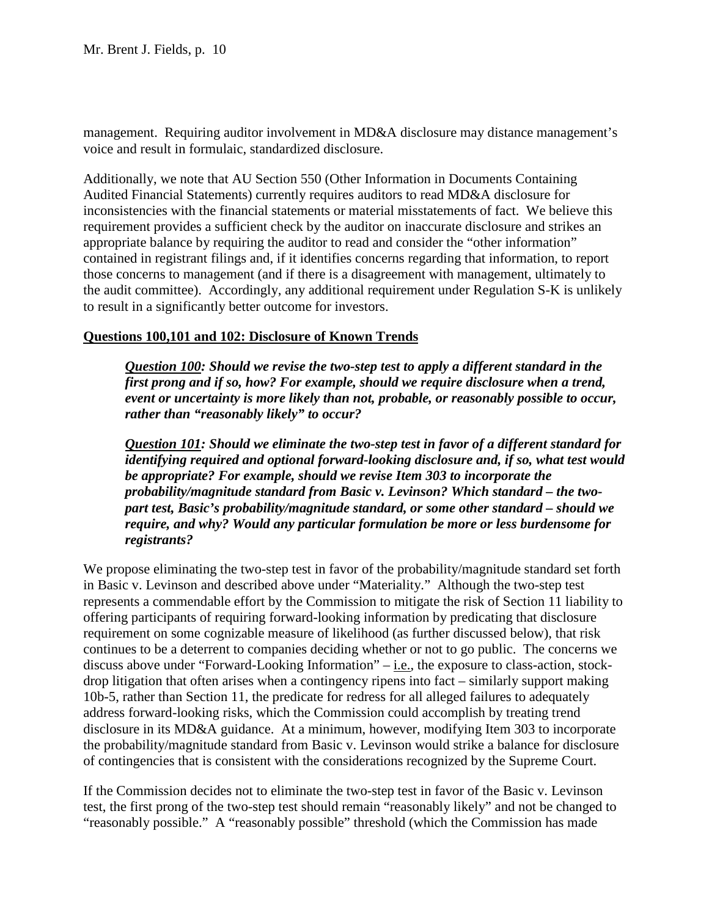management. Requiring auditor involvement in MD&A disclosure may distance management's voice and result in formulaic, standardized disclosure.

 Additionally, we note that AU Section 550 (Other Information in Documents Containing Audited Financial Statements) currently requires auditors to read MD&A disclosure for requirement provides a sufficient check by the auditor on inaccurate disclosure and strikes an the audit committee). Accordingly, any additional requirement under Regulation S-K is unlikely to result in a significantly better outcome for investors. inconsistencies with the financial statements or material misstatements of fact. We believe this appropriate balance by requiring the auditor to read and consider the "other information" contained in registrant filings and, if it identifies concerns regarding that information, to report those concerns to management (and if there is a disagreement with management, ultimately to

#### **Questions 100,101 and 102: Disclosure of Known Trends**

*Question 100: Should we revise the two-step test to apply a different standard in the first prong and if so, how? For example, should we require disclosure when a trend, event or uncertainty is more likely than not, probable, or reasonably possible to occur, rather than "reasonably likely" to occur?* 

 *probability/magnitude standard from Basic v. Levinson? Which standard – the two- part test, Basic's probability/magnitude standard, or some other standard – should we Question 101: Should we eliminate the two-step test in favor of a different standard for identifying required and optional forward-looking disclosure and, if so, what test would be appropriate? For example, should we revise Item 303 to incorporate the require, and why? Would any particular formulation be more or less burdensome for registrants?* 

 10b-5, rather than Section 11, the predicate for redress for all alleged failures to adequately We propose eliminating the two-step test in favor of the probability/magnitude standard set forth in Basic v. Levinson and described above under "Materiality." Although the two-step test represents a commendable effort by the Commission to mitigate the risk of Section 11 liability to offering participants of requiring forward-looking information by predicating that disclosure requirement on some cognizable measure of likelihood (as further discussed below), that risk continues to be a deterrent to companies deciding whether or not to go public. The concerns we discuss above under "Forward-Looking Information"  $-$  *i.e.*, the exposure to class-action, stockdrop litigation that often arises when a contingency ripens into fact – similarly support making address forward-looking risks, which the Commission could accomplish by treating trend disclosure in its MD&A guidance. At a minimum, however, modifying Item 303 to incorporate the probability/magnitude standard from Basic v. Levinson would strike a balance for disclosure of contingencies that is consistent with the considerations recognized by the Supreme Court.

If the Commission decides not to eliminate the two-step test in favor of the Basic v. Levinson test, the first prong of the two-step test should remain "reasonably likely" and not be changed to "reasonably possible." A "reasonably possible" threshold (which the Commission has made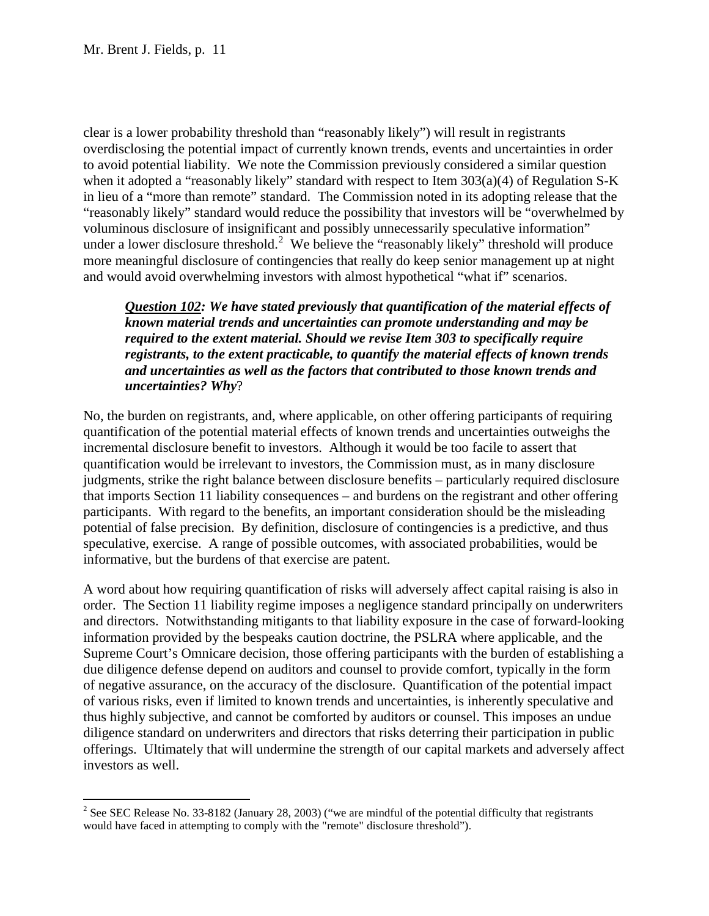$\overline{a}$ 

under a lower disclosure threshold.<sup>2</sup> We believe the "reasonably likely" threshold will produce and would avoid overwhelming investors with almost hypothetical "what if" scenarios. clear is a lower probability threshold than "reasonably likely") will result in registrants overdisclosing the potential impact of currently known trends, events and uncertainties in order to avoid potential liability. We note the Commission previously considered a similar question when it adopted a "reasonably likely" standard with respect to Item 303(a)(4) of Regulation S-K in lieu of a "more than remote" standard. The Commission noted in its adopting release that the "reasonably likely" standard would reduce the possibility that investors will be "overwhelmed by voluminous disclosure of insignificant and possibly unnecessarily speculative information" more meaningful disclosure of contingencies that really do keep senior management up at night

 *known material trends and uncertainties can promote understanding and may be Question 102: We have stated previously that quantification of the material effects of required to the extent material. Should we revise Item 303 to specifically require registrants, to the extent practicable, to quantify the material effects of known trends and uncertainties as well as the factors that contributed to those known trends and uncertainties? Why*?

 judgments, strike the right balance between disclosure benefits – particularly required disclosure informative, but the burdens of that exercise are patent. No, the burden on registrants, and, where applicable, on other offering participants of requiring quantification of the potential material effects of known trends and uncertainties outweighs the incremental disclosure benefit to investors. Although it would be too facile to assert that quantification would be irrelevant to investors, the Commission must, as in many disclosure that imports Section 11 liability consequences – and burdens on the registrant and other offering participants. With regard to the benefits, an important consideration should be the misleading potential of false precision. By definition, disclosure of contingencies is a predictive, and thus speculative, exercise. A range of possible outcomes, with associated probabilities, would be

 and directors. Notwithstanding mitigants to that liability exposure in the case of forward-looking thus highly subjective, and cannot be comforted by auditors or counsel. This imposes an undue A word about how requiring quantification of risks will adversely affect capital raising is also in order. The Section 11 liability regime imposes a negligence standard principally on underwriters information provided by the bespeaks caution doctrine, the PSLRA where applicable, and the Supreme Court's Omnicare decision, those offering participants with the burden of establishing a due diligence defense depend on auditors and counsel to provide comfort, typically in the form of negative assurance, on the accuracy of the disclosure. Quantification of the potential impact of various risks, even if limited to known trends and uncertainties, is inherently speculative and diligence standard on underwriters and directors that risks deterring their participation in public offerings. Ultimately that will undermine the strength of our capital markets and adversely affect investors as well.

<span id="page-10-0"></span><sup>&</sup>lt;sup>2</sup> See SEC Release No. 33-8182 (January 28, 2003) ("we are mindful of the potential difficulty that registrants would have faced in attempting to comply with the "remote" disclosure threshold").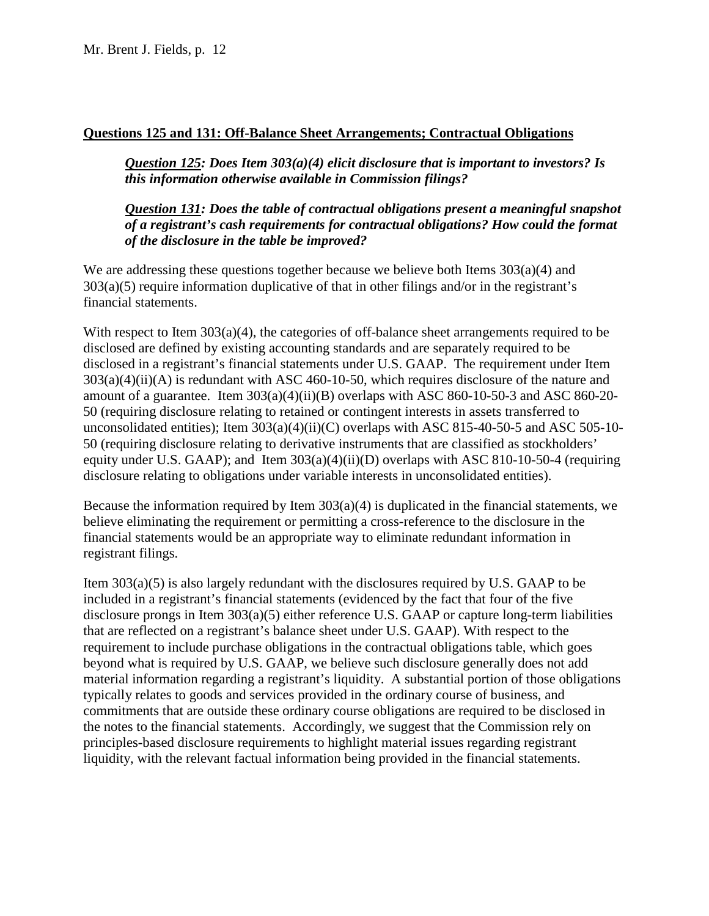## **Questions 125 and 131: Off-Balance Sheet Arrangements; Contractual Obligations**

*Question 125: Does Item 303(a)(4) elicit disclosure that is important to investors? Is this information otherwise available in Commission filings?* 

*Question 131: Does the table of contractual obligations present a meaningful snapshot of a registrant's cash requirements for contractual obligations? How could the format of the disclosure in the table be improved?* 

We are addressing these questions together because we believe both Items 303(a)(4) and  $303(a)(5)$  require information duplicative of that in other filings and/or in the registrant's financial statements.

 disclosed in a registrant's financial statements under U.S. GAAP. The requirement under Item amount of a guarantee. Item 303(a)(4)(ii)(B) overlaps with ASC 860-10-50-3 and ASC 860-20 unconsolidated entities); Item  $303(a)(4)(ii)(C)$  overlaps with ASC 815-40-50-5 and ASC 505-10-With respect to Item 303(a)(4), the categories of off-balance sheet arrangements required to be disclosed are defined by existing accounting standards and are separately required to be  $303(a)(4)(ii)(A)$  is redundant with ASC 460-10-50, which requires disclosure of the nature and 50 (requiring disclosure relating to retained or contingent interests in assets transferred to 50 (requiring disclosure relating to derivative instruments that are classified as stockholders' equity under U.S. GAAP); and Item 303(a)(4)(ii)(D) overlaps with ASC 810-10-50-4 (requiring disclosure relating to obligations under variable interests in unconsolidated entities).

 Because the information required by Item 303(a)(4) is duplicated in the financial statements, we registrant filings. believe eliminating the requirement or permitting a cross-reference to the disclosure in the financial statements would be an appropriate way to eliminate redundant information in

 Item 303(a)(5) is also largely redundant with the disclosures required by U.S. GAAP to be beyond what is required by U.S. GAAP, we believe such disclosure generally does not add included in a registrant's financial statements (evidenced by the fact that four of the five disclosure prongs in Item 303(a)(5) either reference U.S. GAAP or capture long-term liabilities that are reflected on a registrant's balance sheet under U.S. GAAP). With respect to the requirement to include purchase obligations in the contractual obligations table, which goes material information regarding a registrant's liquidity. A substantial portion of those obligations typically relates to goods and services provided in the ordinary course of business, and commitments that are outside these ordinary course obligations are required to be disclosed in the notes to the financial statements. Accordingly, we suggest that the Commission rely on principles-based disclosure requirements to highlight material issues regarding registrant liquidity, with the relevant factual information being provided in the financial statements.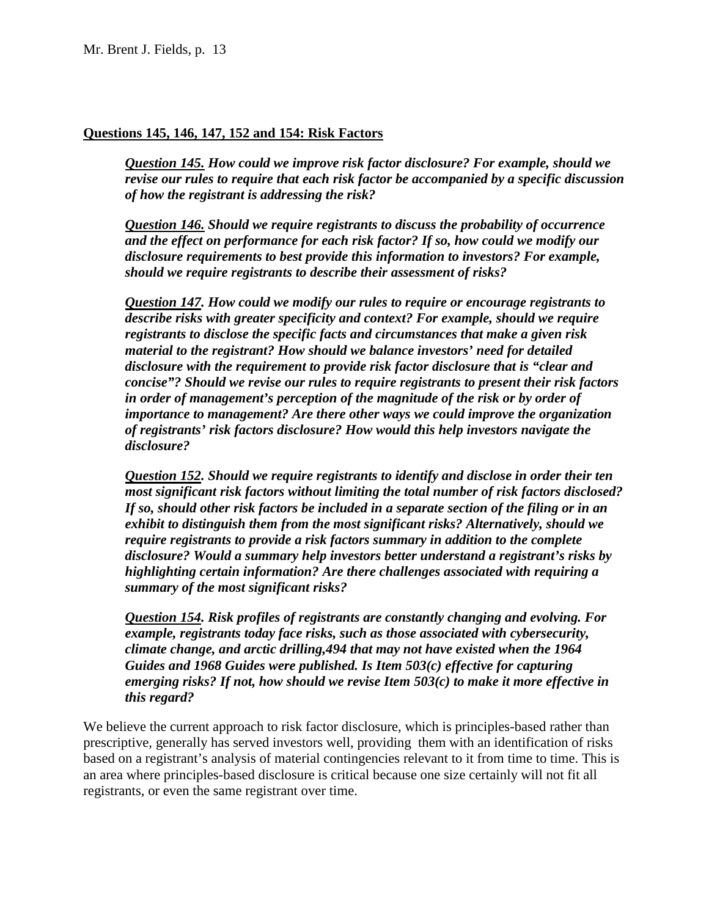#### **Questions 145, 146, 147, 152 and 154: Risk Factors**

 *of how the registrant is addressing the risk? Question 145. How could we improve risk factor disclosure? For example, should we revise our rules to require that each risk factor be accompanied by a specific discussion* 

 *and the effect on performance for each risk factor? If so, how could we modify our Question 146. Should we require registrants to discuss the probability of occurrence disclosure requirements to best provide this information to investors? For example, should we require registrants to describe their assessment of risks?* 

 *material to the registrant? How should we balance investors' need for detailed Question 147. How could we modify our rules to require or encourage registrants to describe risks with greater specificity and context? For example, should we require registrants to disclose the specific facts and circumstances that make a given risk disclosure with the requirement to provide risk factor disclosure that is "clear and concise"? Should we revise our rules to require registrants to present their risk factors in order of management's perception of the magnitude of the risk or by order of importance to management? Are there other ways we could improve the organization of registrants' risk factors disclosure? How would this help investors navigate the disclosure?* 

*Question 152. Should we require registrants to identify and disclose in order their ten most significant risk factors without limiting the total number of risk factors disclosed? If so, should other risk factors be included in a separate section of the filing or in an exhibit to distinguish them from the most significant risks? Alternatively, should we require registrants to provide a risk factors summary in addition to the complete disclosure? Would a summary help investors better understand a registrant's risks by highlighting certain information? Are there challenges associated with requiring a summary of the most significant risks?* 

 *climate change, and arctic drilling,494 that may not have existed when the 1964 Question 154. Risk profiles of registrants are constantly changing and evolving. For example, registrants today face risks, such as those associated with cybersecurity, Guides and 1968 Guides were published. Is Item 503(c) effective for capturing emerging risks? If not, how should we revise Item 503(c) to make it more effective in this regard?* 

 We believe the current approach to risk factor disclosure, which is principles-based rather than registrants, or even the same registrant over time. prescriptive, generally has served investors well, providing them with an identification of risks based on a registrant's analysis of material contingencies relevant to it from time to time. This is an area where principles-based disclosure is critical because one size certainly will not fit all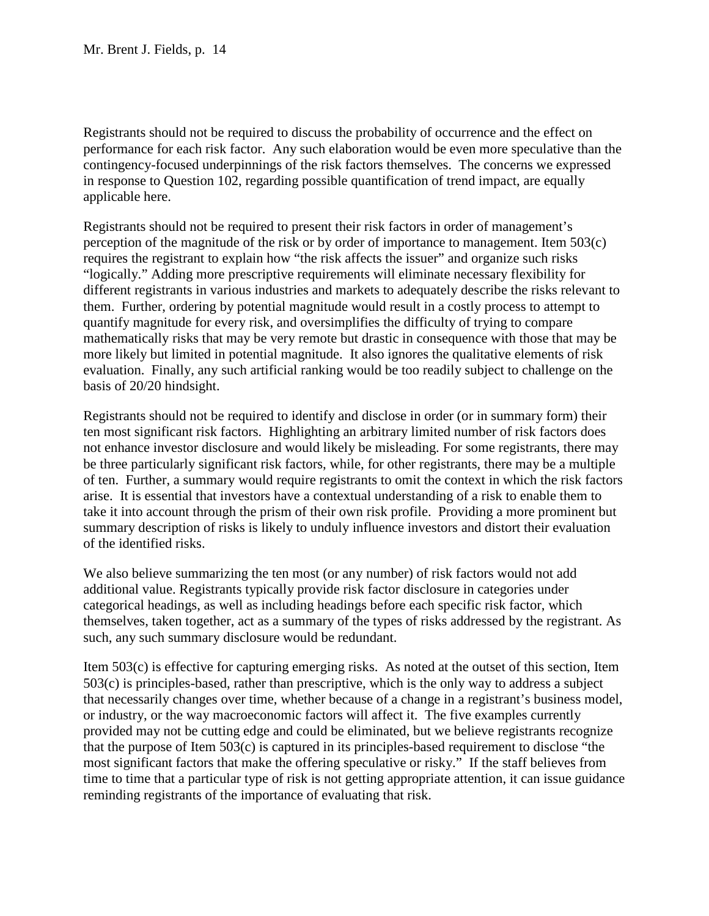in response to Question 102, regarding possible quantification of trend impact, are equally Registrants should not be required to discuss the probability of occurrence and the effect on performance for each risk factor. Any such elaboration would be even more speculative than the contingency-focused underpinnings of the risk factors themselves. The concerns we expressed applicable here.

 mathematically risks that may be very remote but drastic in consequence with those that may be more likely but limited in potential magnitude. It also ignores the qualitative elements of risk evaluation. Finally, any such artificial ranking would be too readily subject to challenge on the Registrants should not be required to present their risk factors in order of management's perception of the magnitude of the risk or by order of importance to management. Item 503(c) requires the registrant to explain how "the risk affects the issuer" and organize such risks "logically." Adding more prescriptive requirements will eliminate necessary flexibility for different registrants in various industries and markets to adequately describe the risks relevant to them. Further, ordering by potential magnitude would result in a costly process to attempt to quantify magnitude for every risk, and oversimplifies the difficulty of trying to compare basis of 20/20 hindsight.

 ten most significant risk factors. Highlighting an arbitrary limited number of risk factors does be three particularly significant risk factors, while, for other registrants, there may be a multiple of ten. Further, a summary would require registrants to omit the context in which the risk factors Registrants should not be required to identify and disclose in order (or in summary form) their not enhance investor disclosure and would likely be misleading. For some registrants, there may arise. It is essential that investors have a contextual understanding of a risk to enable them to take it into account through the prism of their own risk profile. Providing a more prominent but summary description of risks is likely to unduly influence investors and distort their evaluation of the identified risks.

 categorical headings, as well as including headings before each specific risk factor, which We also believe summarizing the ten most (or any number) of risk factors would not add additional value. Registrants typically provide risk factor disclosure in categories under themselves, taken together, act as a summary of the types of risks addressed by the registrant. As such, any such summary disclosure would be redundant.

 503(c) is principles-based, rather than prescriptive, which is the only way to address a subject that necessarily changes over time, whether because of a change in a registrant's business model, most significant factors that make the offering speculative or risky." If the staff believes from Item 503(c) is effective for capturing emerging risks. As noted at the outset of this section, Item or industry, or the way macroeconomic factors will affect it. The five examples currently provided may not be cutting edge and could be eliminated, but we believe registrants recognize that the purpose of Item 503(c) is captured in its principles-based requirement to disclose "the time to time that a particular type of risk is not getting appropriate attention, it can issue guidance reminding registrants of the importance of evaluating that risk.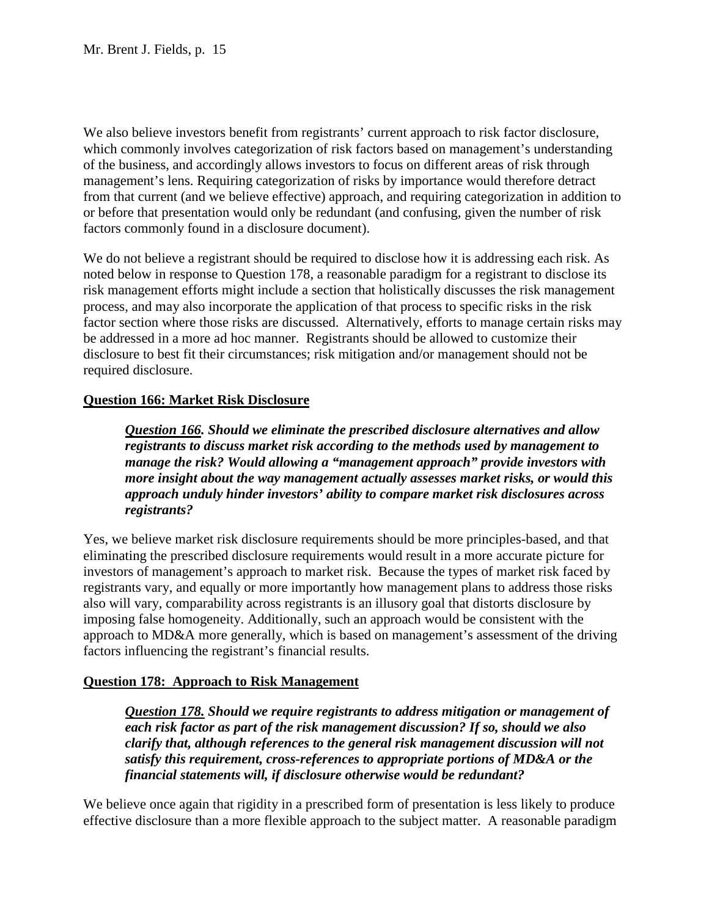We also believe investors benefit from registrants' current approach to risk factor disclosure, which commonly involves categorization of risk factors based on management's understanding of the business, and accordingly allows investors to focus on different areas of risk through management's lens. Requiring categorization of risks by importance would therefore detract from that current (and we believe effective) approach, and requiring categorization in addition to or before that presentation would only be redundant (and confusing, given the number of risk factors commonly found in a disclosure document).

 noted below in response to Question 178, a reasonable paradigm for a registrant to disclose its We do not believe a registrant should be required to disclose how it is addressing each risk. As risk management efforts might include a section that holistically discusses the risk management process, and may also incorporate the application of that process to specific risks in the risk factor section where those risks are discussed. Alternatively, efforts to manage certain risks may be addressed in a more ad hoc manner. Registrants should be allowed to customize their disclosure to best fit their circumstances; risk mitigation and/or management should not be required disclosure.

## **Question 166: Market Risk Disclosure**

*Question 166. Should we eliminate the prescribed disclosure alternatives and allow registrants to discuss market risk according to the methods used by management to manage the risk? Would allowing a "management approach" provide investors with more insight about the way management actually assesses market risks, or would this approach unduly hinder investors' ability to compare market risk disclosures across registrants?* 

 also will vary, comparability across registrants is an illusory goal that distorts disclosure by Yes, we believe market risk disclosure requirements should be more principles-based, and that eliminating the prescribed disclosure requirements would result in a more accurate picture for investors of management's approach to market risk. Because the types of market risk faced by registrants vary, and equally or more importantly how management plans to address those risks imposing false homogeneity. Additionally, such an approach would be consistent with the approach to MD&A more generally, which is based on management's assessment of the driving factors influencing the registrant's financial results.

## **Question 178: Approach to Risk Management**

*Question 178. Should we require registrants to address mitigation or management of each risk factor as part of the risk management discussion? If so, should we also clarify that, although references to the general risk management discussion will not satisfy this requirement, cross-references to appropriate portions of MD&A or the financial statements will, if disclosure otherwise would be redundant?* 

We believe once again that rigidity in a prescribed form of presentation is less likely to produce effective disclosure than a more flexible approach to the subject matter. A reasonable paradigm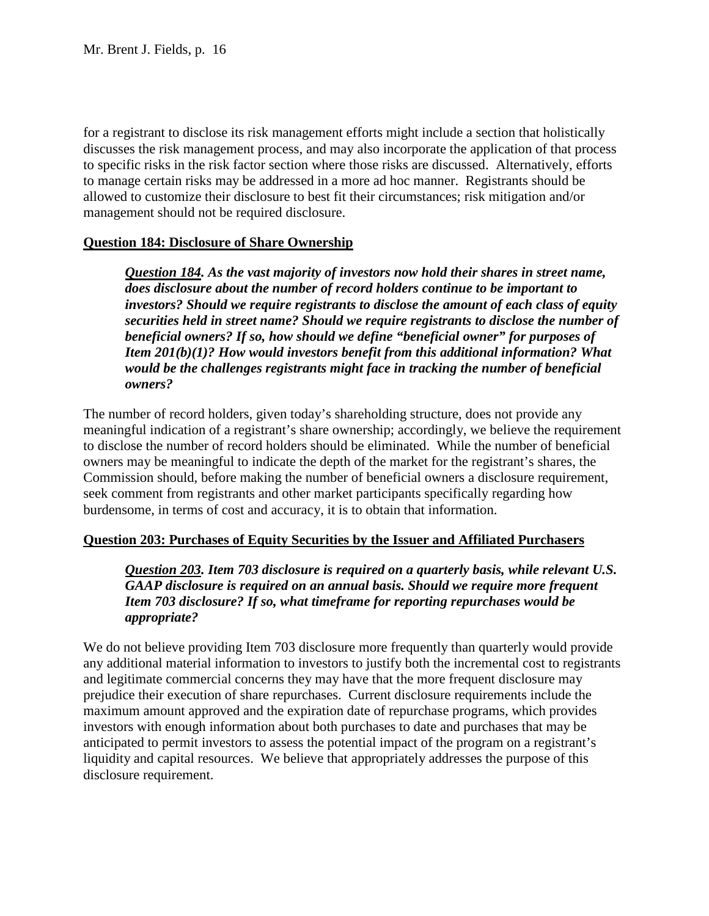discusses the risk management process, and may also incorporate the application of that process for a registrant to disclose its risk management efforts might include a section that holistically to specific risks in the risk factor section where those risks are discussed. Alternatively, efforts to manage certain risks may be addressed in a more ad hoc manner. Registrants should be allowed to customize their disclosure to best fit their circumstances; risk mitigation and/or management should not be required disclosure.

### **Question 184: Disclosure of Share Ownership**

 *would be the challenges registrants might face in tracking the number of beneficial Question 184. As the vast majority of investors now hold their shares in street name, does disclosure about the number of record holders continue to be important to investors? Should we require registrants to disclose the amount of each class of equity securities held in street name? Should we require registrants to disclose the number of beneficial owners? If so, how should we define "beneficial owner" for purposes of Item 201(b)(1)? How would investors benefit from this additional information? What owners?* 

The number of record holders, given today's shareholding structure, does not provide any meaningful indication of a registrant's share ownership; accordingly, we believe the requirement to disclose the number of record holders should be eliminated. While the number of beneficial owners may be meaningful to indicate the depth of the market for the registrant's shares, the Commission should, before making the number of beneficial owners a disclosure requirement, seek comment from registrants and other market participants specifically regarding how burdensome, in terms of cost and accuracy, it is to obtain that information.

#### **Question 203: Purchases of Equity Securities by the Issuer and Affiliated Purchasers**

*Question 203. Item 703 disclosure is required on a quarterly basis, while relevant U.S. GAAP disclosure is required on an annual basis. Should we require more frequent Item 703 disclosure? If so, what timeframe for reporting repurchases would be appropriate?* 

We do not believe providing Item 703 disclosure more frequently than quarterly would provide any additional material information to investors to justify both the incremental cost to registrants and legitimate commercial concerns they may have that the more frequent disclosure may prejudice their execution of share repurchases. Current disclosure requirements include the maximum amount approved and the expiration date of repurchase programs, which provides investors with enough information about both purchases to date and purchases that may be anticipated to permit investors to assess the potential impact of the program on a registrant's liquidity and capital resources. We believe that appropriately addresses the purpose of this disclosure requirement.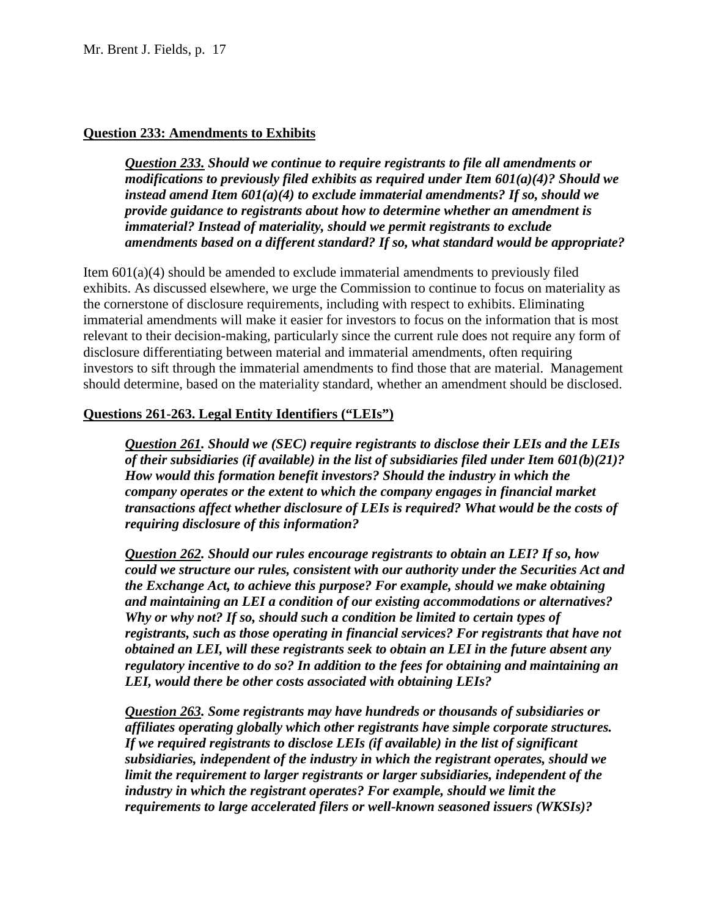### **Question 233: Amendments to Exhibits**

instead amend Item  $601(a)(4)$  to exclude immaterial amendments? If so, should we *Question 233. Should we continue to require registrants to file all amendments or modifications to previously filed exhibits as required under Item 601(a)(4)? Should we instead amend Item 601(a)(4) to exclude immaterial amendments? If so, should we provide guidance to registrants about how to determine whether an amendment is immaterial? Instead of materiality, should we permit registrants to exclude amendments based on a different standard? If so, what standard would be appropriate?* 

 relevant to their decision-making, particularly since the current rule does not require any form of Item  $601(a)(4)$  should be amended to exclude immaterial amendments to previously filed exhibits. As discussed elsewhere, we urge the Commission to continue to focus on materiality as the cornerstone of disclosure requirements, including with respect to exhibits. Eliminating immaterial amendments will make it easier for investors to focus on the information that is most disclosure differentiating between material and immaterial amendments, often requiring investors to sift through the immaterial amendments to find those that are material. Management should determine, based on the materiality standard, whether an amendment should be disclosed.

### **Questions 261-263. Legal Entity Identifiers ("LEIs")**

*Question 261. Should we (SEC) require registrants to disclose their LEIs and the LEIs of their subsidiaries (if available) in the list of subsidiaries filed under Item 601(b)(21)? How would this formation benefit investors? Should the industry in which the company operates or the extent to which the company engages in financial market transactions affect whether disclosure of LEIs is required? What would be the costs of requiring disclosure of this information?* 

 *and maintaining an LEI a condition of our existing accommodations or alternatives? Question 262. Should our rules encourage registrants to obtain an LEI? If so, how could we structure our rules, consistent with our authority under the Securities Act and the Exchange Act, to achieve this purpose? For example, should we make obtaining Why or why not? If so, should such a condition be limited to certain types of registrants, such as those operating in financial services? For registrants that have not obtained an LEI, will these registrants seek to obtain an LEI in the future absent any regulatory incentive to do so? In addition to the fees for obtaining and maintaining an LEI, would there be other costs associated with obtaining LEIs?* 

 *industry in which the registrant operates? For example, should we limit the Question 263. Some registrants may have hundreds or thousands of subsidiaries or affiliates operating globally which other registrants have simple corporate structures. If we required registrants to disclose LEIs (if available) in the list of significant subsidiaries, independent of the industry in which the registrant operates, should we limit the requirement to larger registrants or larger subsidiaries, independent of the requirements to large accelerated filers or well-known seasoned issuers (WKSIs)?*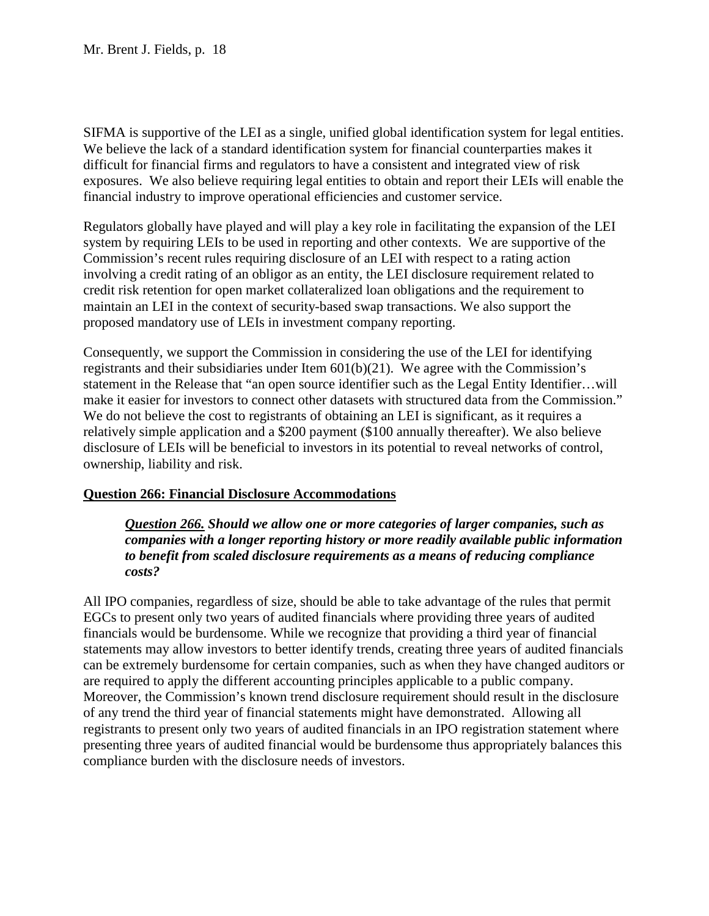SIFMA is supportive of the LEI as a single, unified global identification system for legal entities. exposures. We also believe requiring legal entities to obtain and report their LEIs will enable the We believe the lack of a standard identification system for financial counterparties makes it difficult for financial firms and regulators to have a consistent and integrated view of risk financial industry to improve operational efficiencies and customer service.

 Regulators globally have played and will play a key role in facilitating the expansion of the LEI proposed mandatory use of LEIs in investment company reporting. system by requiring LEIs to be used in reporting and other contexts. We are supportive of the Commission's recent rules requiring disclosure of an LEI with respect to a rating action involving a credit rating of an obligor as an entity, the LEI disclosure requirement related to credit risk retention for open market collateralized loan obligations and the requirement to maintain an LEI in the context of security-based swap transactions. We also support the

 Consequently, we support the Commission in considering the use of the LEI for identifying make it easier for investors to connect other datasets with structured data from the Commission." disclosure of LEIs will be beneficial to investors in its potential to reveal networks of control, registrants and their subsidiaries under Item  $601(b)(21)$ . We agree with the Commission's statement in the Release that "an open source identifier such as the Legal Entity Identifier…will We do not believe the cost to registrants of obtaining an LEI is significant, as it requires a relatively simple application and a \$200 payment (\$100 annually thereafter). We also believe ownership, liability and risk.

## **Question 266: Financial Disclosure Accommodations**

*Question 266. Should we allow one or more categories of larger companies, such as companies with a longer reporting history or more readily available public information to benefit from scaled disclosure requirements as a means of reducing compliance costs?* 

 EGCs to present only two years of audited financials where providing three years of audited financials would be burdensome. While we recognize that providing a third year of financial are required to apply the different accounting principles applicable to a public company. of any trend the third year of financial statements might have demonstrated. Allowing all registrants to present only two years of audited financials in an IPO registration statement where presenting three years of audited financial would be burdensome thus appropriately balances this compliance burden with the disclosure needs of investors. All IPO companies, regardless of size, should be able to take advantage of the rules that permit statements may allow investors to better identify trends, creating three years of audited financials can be extremely burdensome for certain companies, such as when they have changed auditors or Moreover, the Commission's known trend disclosure requirement should result in the disclosure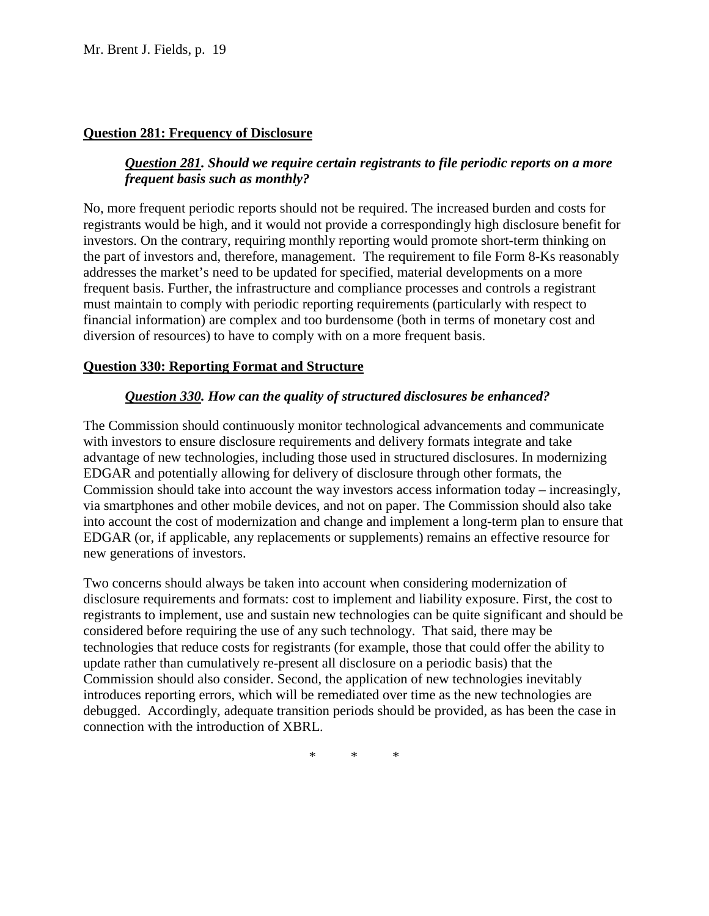### **Question 281: Frequency of Disclosure**

## *Question 281. Should we require certain registrants to file periodic reports on a more frequent basis such as monthly?*

No, more frequent periodic reports should not be required. The increased burden and costs for registrants would be high, and it would not provide a correspondingly high disclosure benefit for investors. On the contrary, requiring monthly reporting would promote short-term thinking on the part of investors and, therefore, management. The requirement to file Form 8-Ks reasonably addresses the market's need to be updated for specified, material developments on a more frequent basis. Further, the infrastructure and compliance processes and controls a registrant must maintain to comply with periodic reporting requirements (particularly with respect to financial information) are complex and too burdensome (both in terms of monetary cost and diversion of resources) to have to comply with on a more frequent basis.

### **Question 330: Reporting Format and Structure**

## *Question 330. How can the quality of structured disclosures be enhanced?*

 EDGAR and potentially allowing for delivery of disclosure through other formats, the Commission should take into account the way investors access information today – increasingly, EDGAR (or, if applicable, any replacements or supplements) remains an effective resource for new generations of investors. The Commission should continuously monitor technological advancements and communicate with investors to ensure disclosure requirements and delivery formats integrate and take advantage of new technologies, including those used in structured disclosures. In modernizing via smartphones and other mobile devices, and not on paper. The Commission should also take into account the cost of modernization and change and implement a long-term plan to ensure that

 disclosure requirements and formats: cost to implement and liability exposure. First, the cost to Two concerns should always be taken into account when considering modernization of registrants to implement, use and sustain new technologies can be quite significant and should be considered before requiring the use of any such technology. That said, there may be technologies that reduce costs for registrants (for example, those that could offer the ability to update rather than cumulatively re-present all disclosure on a periodic basis) that the Commission should also consider. Second, the application of new technologies inevitably introduces reporting errors, which will be remediated over time as the new technologies are debugged. Accordingly, adequate transition periods should be provided, as has been the case in connection with the introduction of XBRL.

\* \* \*